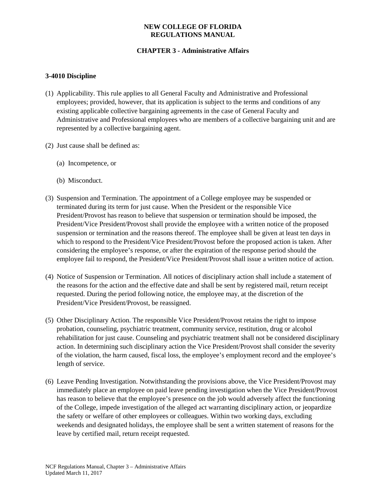## **NEW COLLEGE OF FLORIDA REGULATIONS MANUAL**

# **CHAPTER 3 - Administrative Affairs**

## **3-4010 Discipline**

- (1) Applicability. This rule applies to all General Faculty and Administrative and Professional employees; provided, however, that its application is subject to the terms and conditions of any existing applicable collective bargaining agreements in the case of General Faculty and Administrative and Professional employees who are members of a collective bargaining unit and are represented by a collective bargaining agent.
- (2) Just cause shall be defined as:
	- (a) Incompetence, or
	- (b) Misconduct.
- (3) Suspension and Termination. The appointment of a College employee may be suspended or terminated during its term for just cause. When the President or the responsible Vice President/Provost has reason to believe that suspension or termination should be imposed, the President/Vice President/Provost shall provide the employee with a written notice of the proposed suspension or termination and the reasons thereof. The employee shall be given at least ten days in which to respond to the President/Vice President/Provost before the proposed action is taken. After considering the employee's response, or after the expiration of the response period should the employee fail to respond, the President/Vice President/Provost shall issue a written notice of action.
- (4) Notice of Suspension or Termination. All notices of disciplinary action shall include a statement of the reasons for the action and the effective date and shall be sent by registered mail, return receipt requested. During the period following notice, the employee may, at the discretion of the President/Vice President/Provost, be reassigned.
- (5) Other Disciplinary Action. The responsible Vice President/Provost retains the right to impose probation, counseling, psychiatric treatment, community service, restitution, drug or alcohol rehabilitation for just cause. Counseling and psychiatric treatment shall not be considered disciplinary action. In determining such disciplinary action the Vice President/Provost shall consider the severity of the violation, the harm caused, fiscal loss, the employee's employment record and the employee's length of service.
- (6) Leave Pending Investigation. Notwithstanding the provisions above, the Vice President/Provost may immediately place an employee on paid leave pending investigation when the Vice President/Provost has reason to believe that the employee's presence on the job would adversely affect the functioning of the College, impede investigation of the alleged act warranting disciplinary action, or jeopardize the safety or welfare of other employees or colleagues. Within two working days, excluding weekends and designated holidays, the employee shall be sent a written statement of reasons for the leave by certified mail, return receipt requested.